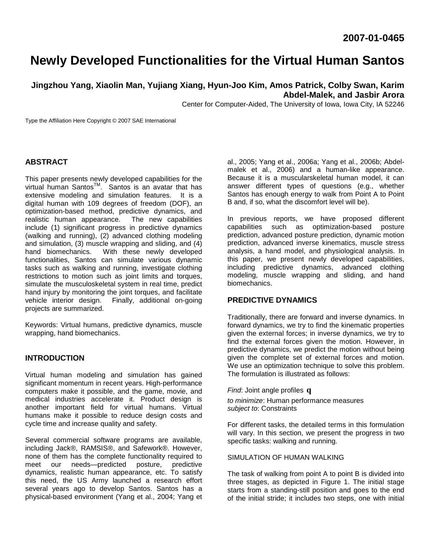# **Newly Developed Functionalities for the Virtual Human Santos**

**Jingzhou Yang, Xiaolin Man, Yujiang Xiang, Hyun-Joo Kim, Amos Patrick, Colby Swan, Karim Abdel-Malek, and Jasbir Arora** 

Center for Computer-Aided, The University of Iowa, Iowa City, IA 52246

Type the Affiliation Here Copyright © 2007 SAE International

## **ABSTRACT**

This paper presents newly developed capabilities for the virtual human Santos™. Santos is an avatar that has extensive modeling and simulation features. It is a digital human with 109 degrees of freedom (DOF), an optimization-based method, predictive dynamics, and realistic human appearance. The new capabilities include (1) significant progress in predictive dynamics (walking and running), (2) advanced clothing modeling and simulation, (3) muscle wrapping and sliding, and (4) hand biomechanics. With these newly developed functionalities, Santos can simulate various dynamic tasks such as walking and running, investigate clothing restrictions to motion such as joint limits and torques, simulate the musculoskeletal system in real time, predict hand injury by monitoring the joint torques, and facilitate vehicle interior design. Finally, additional on-going projects are summarized.

Keywords: Virtual humans, predictive dynamics, muscle wrapping, hand biomechanics.

## **INTRODUCTION**

Virtual human modeling and simulation has gained significant momentum in recent years. High-performance computers make it possible, and the game, movie, and medical industries accelerate it. Product design is another important field for virtual humans. Virtual humans make it possible to reduce design costs and cycle time and increase quality and safety.

Several commercial software programs are available, including Jack®, RAMSIS®, and Safework®. However, none of them has the complete functionality required to meet our needs—predicted posture, predictive dynamics, realistic human appearance, etc. To satisfy this need, the US Army launched a research effort several years ago to develop Santos. Santos has a physical-based environment (Yang et al., 2004; Yang et

al., 2005; Yang et al., 2006a; Yang et al., 2006b; Abdelmalek et al., 2006) and a human-like appearance. Because it is a muscularskeletal human model, it can answer different types of questions (e.g., whether Santos has enough energy to walk from Point A to Point B and, if so, what the discomfort level will be).

In previous reports, we have proposed different capabilities such as optimization-based posture prediction, advanced posture prediction, dynamic motion prediction, advanced inverse kinematics, muscle stress analysis, a hand model, and physiological analysis. In this paper, we present newly developed capabilities, including predictive dynamics, advanced clothing modeling, muscle wrapping and sliding, and hand biomechanics.

## **PREDICTIVE DYNAMICS**

Traditionally, there are forward and inverse dynamics. In forward dynamics, we try to find the kinematic properties given the external forces; in inverse dynamics, we try to find the external forces given the motion. However, in predictive dynamics, we predict the motion without being given the complete set of external forces and motion. We use an optimization technique to solve this problem. The formulation is illustrated as follows:

Find: Joint angle profiles **q** to minimize: Human performance measures subject to: Constraints

For different tasks, the detailed terms in this formulation will vary. In this section, we present the progress in two specific tasks: walking and running.

## SIMULATION OF HUMAN WALKING

The task of walking from point A to point B is divided into three stages, as depicted in Figure 1. The initial stage starts from a standing-still position and goes to the end of the initial stride; it includes two steps, one with initial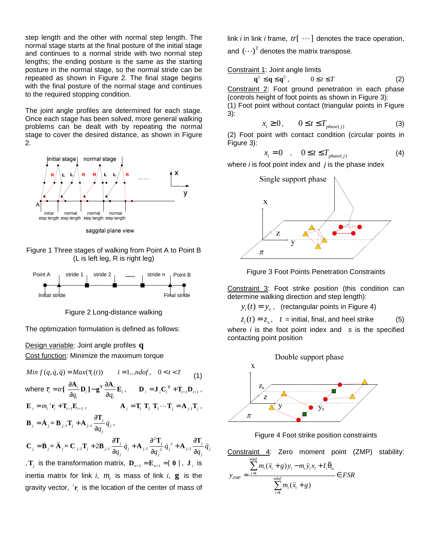step length and the other with normal step length. The normal stage starts at the final posture of the initial stage and continues to a normal stride with two normal step lengths; the ending posture is the same as the starting posture in the normal stage, so the normal stride can be repeated as shown in Figure 2. The final stage begins with the final posture of the normal stage and continues to the required stopping condition.

The joint angle profiles are determined for each stage. Once each stage has been solved, more general walking problems can be dealt with by repeating the normal stage to cover the desired distance, as shown in Figure 2.



saggital plane view

Figure 1 Three stages of walking from Point A to Point B (L is left leg, R is right leg)



Figure 2 Long-distance walking

The optimization formulation is defined as follows:

Design variable: Joint angle profiles **q** Cost function: Minimize the maximum torque

$$
Min f(q, \dot{q}, \ddot{q}) = Max(\tau_i(t)) \qquad i = 1...ndof, \quad 0 < t < T \tag{1}
$$

where  $\tau_i = tr[\frac{\partial \mathbf{A}_i}{\partial q_i} \mathbf{D}_i] - \mathbf{g}^{\mathrm{T}} \frac{\partial \mathbf{A}_i}{\partial q_i} \mathbf{E}_i$  $\tau_i = tr\left[\ \frac{\partial \mathbf{A}_i}{\partial q_i} \mathbf{D}_i \right] - \mathbf{g}^{\mathrm{T}} \frac{\partial \mathbf{A}_i}{\partial q_i}$  $\left[\frac{\partial \mathbf{A}_i}{\partial z_i} \mathbf{D}_i\right] - \mathbf{g}^{\mathrm{T}} \frac{\partial \mathbf{A}_i}{\partial z_i} \mathbf{E}_i, \qquad \mathbf{D}_i = \mathbf{J}_i \mathbf{C}_i^{\mathrm{T}} + \mathbf{T}_{i+1} \mathbf{D}_{i+1},$  $\mathbf{E}_{i} = m_{i}{}^{i} \mathbf{r}_{i} + \mathbf{T}_{i+1} \mathbf{E}_{i+1}$ ,  $\mathbf{A}_{j} = \mathbf{T}_{1} \mathbf{T}_{2} \mathbf{T}_{3} \cdots \mathbf{T}_{j} = \mathbf{A}_{j+1} \mathbf{T}_{j}$ ,  $j_j = \dot{\mathbf{A}}_j = \mathbf{B}_{j-1} \mathbf{T}_j + \mathbf{A}_{j-1} \frac{\partial \mathbf{T}_j}{\partial q_j} \dot{q}_j$  $\frac{J}{q}q$  $=\dot{\mathbf{A}}_j = \mathbf{B}_{j-1} \mathbf{T}_j + \mathbf{A}_{j-1} \frac{\partial}{\partial \mathbf{A}_j}$  $\mathbf{B}_{i} = \dot{\mathbf{A}}_{i} = \mathbf{B}_{i} \mathbf{I}_{i} + \mathbf{A}_{i} \frac{\partial \mathbf{T}_{j}}{\partial \mathbf{A}_{i}} \dot{q}_{i}$ 

 $\hat{\mathbf{B}}_j = \ddot{\mathbf{A}}_j = \mathbf{C}_{j-1} \mathbf{T}_j + 2 \mathbf{B}_{j-1} \frac{\partial \mathbf{T}_j}{\partial q_j} \dot{q}_j + \mathbf{A}_{j-1} \frac{\partial^2 \mathbf{T}_j}{\partial q_j^2} \dot{q}_j^2 + \mathbf{A}_{j-1} \frac{\partial \mathbf{T}_j}{\partial q_j} \ddot{q}_j$  $\frac{d}{q_i}\dot{q}_j + \mathbf{A}_{j-1} \frac{d}{dq_i^2}\dot{q}_j^2 + \mathbf{A}_{j-1} \frac{d}{dq_i}\ddot{q}_j$  $\dot{\mathbf{B}}_j = \ddot{\mathbf{A}}_j = \mathbf{C}_{j \cdot j} \mathbf{T}_j + 2 \mathbf{B}_{j \cdot j} \frac{\partial \mathbf{T}_j}{\partial q_j} \dot{q}_j + \mathbf{A}_{j \cdot j} \frac{\partial^2 \mathbf{T}_j}{\partial q_j^2} \dot{q}_j^2 + \mathbf{A}_{j \cdot j} \frac{\partial^2 \mathbf{T}_j}{\partial q_j^2}$  $\mathbf{C}_i = \dot{\mathbf{B}}_i = \ddot{\mathbf{A}}_i = \mathbf{C}_{i,j} \mathbf{T}_i + 2 \mathbf{B}_{i,j} \frac{\partial \mathbf{T}_j}{\partial \mathbf{C}^2} \dot{q}_i + \mathbf{A}_{i,j} \frac{\partial^2 \mathbf{T}_j}{\partial \mathbf{C}^2} \dot{q}_i^2 + \mathbf{A}_{i,j} \frac{\partial \mathbf{T}_j}{\partial \mathbf{C}^2} \ddot{q}_i^2$ 

,  $\mathbf{T}_j$  is the transformation matrix,  $\mathbf{D}_{n+1} = \mathbf{E}_{n+1} = [0]$ ,  $\mathbf{J}_i$  is inertia matrix for link *i*,  $m<sub>i</sub>$  is mass of link *i*, **g** is the gravity vector,  ${}^{i}$ **r**<sub>i</sub> is the location of the center of mass of link *i* in link *i* frame,  $tr[$   $\cdots]$  denotes the trace operation, and  $(\cdots)^{\text{T}}$  denotes the matrix transpose.

Constraint 1: Joint angle limits

$$
\mathbf{q}^L \leq \mathbf{q} \leq \mathbf{q}^U, \qquad 0 \leq t \leq T \tag{2}
$$

Constraint 2: Foot ground penetration in each phase (controls height of foot points as shown in Figure 3):

(1) Foot point without contact (triangular points in Figure 3):

$$
x_i \ge 0, \qquad 0 \le t \le T_{phase(j)} \tag{3}
$$

(2) Foot point with contact condition (circular points in Figure 3):

$$
x_i = 0 \quad , \quad 0 \le t \le T_{phase(j)} \tag{4}
$$

where  $i$  is foot point index and  $j$  is the phase index



Figure 3 Foot Points Penetration Constraints

Constraint 3: Foot strike position (this condition can determine walking direction and step length):

 $y_i(t) = y_s$ , (rectangular points in Figure 4)

$$
z_i(t) = z_s, \quad t = \text{initial, final, and heel strike} \tag{5}
$$

where  $i$  is the foot point index and  $s$  is the specified contacting point position



Figure 4 Foot strike position constraints

Constraint 4: Zero moment point (ZMP) stability: 1 1  $(\ddot{x}_i + g)$  $({\ddot{x}}_i + g)$ *ndof*  $Z_{\text{XMP}} = \frac{\sum_{i=1}^{n_i} m_i (x_i + g) y_i - m_i y_i x_i + I_i \mathbf{v}_{iz}}{ndof}$  $\sum_i$ *i*  $m_i(\ddot{x}_i + g) y_i - m_i \ddot{y}_i x_i + I$  $y_{ZMP} = \frac{i=1}{r}$  $m_i(\ddot{x}_i + g)$ = =  $+ g y_i - m_i \ddot{y}_i x_i + I_i \theta$  $=\frac{i=1}{\sqrt{ndof}}$ + ∑ ∑  $\ddot{x} + \varrho$ )  $y = m \ddot{y} \cdot x + L \ddot{\theta}$  $\ddot{x}$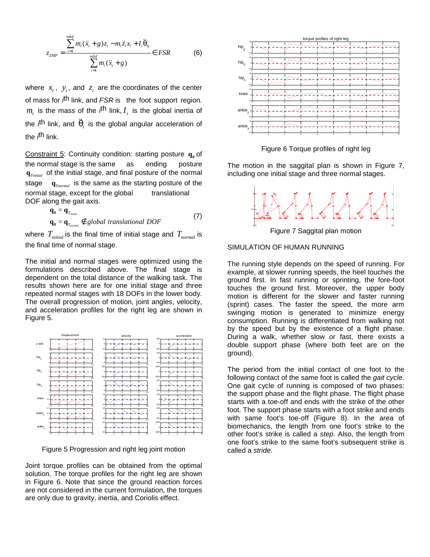$$
z_{ZMP} = \frac{\sum_{i=1}^{ndof} m_i(\ddot{x}_i + g)z_i - m_i \ddot{z}_i x_i + I_i \ddot{\theta}_{iy}}{\sum_{i=1}^{ndof} m_i(\ddot{x}_i + g)} \in FSR
$$
 (6)

where  $x_i$ ,  $y_i$ , and  $z_i$  are the coordinates of the center of mass for i<sup>th</sup> link, and FSR is the foot support region.  $m_i$  is the mass of the  $i^{\text{th}}$  link,  $I_i$  is the global inertia of the i<sup>th</sup> link, and  $\ddot{\theta}_i$  is the global angular acceleration of the *i*<sup>th</sup> link.

Constraint 5: Continuity condition: starting posture **q<sup>0</sup>** of the normal stage is the same as ending posture **q***Tinitial* of the initial stage, and final posture of the normal stage **q***Tnormal* is the same as the starting posture of the normal stage, except for the global translational DOF along the gait axis.

$$
\mathbf{q}_{0} = \mathbf{q}_{T_{initial}} \in global translational DOF
$$
\n
$$
\mathbf{q}_{0} = \mathbf{q}_{T_{normal}} \notin global translational DOF
$$
\n
$$
(7)
$$

where  $T_{initial}$  is the final time of initial stage and  $T_{normal}$  is the final time of normal stage.

The initial and normal stages were optimized using the formulations described above. The final stage is dependent on the total distance of the walking task. The results shown here are for one initial stage and three repeated normal stages with 18 DOFs in the lower body. The overall progression of motion, joint angles, velocity, and acceleration profiles for the right leg are shown in Figure 5.



Figure 5 Progression and right leg joint motion

Joint torque profiles can be obtained from the optimal solution. The torque profiles for the right leg are shown in Figure 6. Note that since the ground reaction forces are not considered in the current formulation, the torques are only due to gravity, inertia, and Coriolis effect.



Figure 6 Torque profiles of right leg

The motion in the saggital plan is shown in Figure 7, including one initial stage and three normal stages.



## SIMULATION OF HUMAN RUNNING

The running style depends on the speed of running. For example, at slower running speeds, the heel touches the ground first. In fast running or sprinting, the fore-foot touches the ground first. Moreover, the upper body motion is different for the slower and faster running (sprint) cases. The faster the speed, the more arm swinging motion is generated to minimize energy consumption. Running is differentiated from walking not by the speed but by the existence of a flight phase. During a walk, whether slow or fast, there exists a double support phase (where both feet are on the ground).

The period from the initial contact of one foot to the following contact of the same foot is called the gait cycle. One gait cycle of running is composed of two phases: the support phase and the flight phase. The flight phase starts with a toe-off and ends with the strike of the other foot. The support phase starts with a foot strike and ends with same foot's toe-off (Figure 8). In the area of biomechanics, the length from one foot's strike to the other foot's strike is called a step. Also, the length from one foot's strike to the same foot's subsequent strike is called a stride.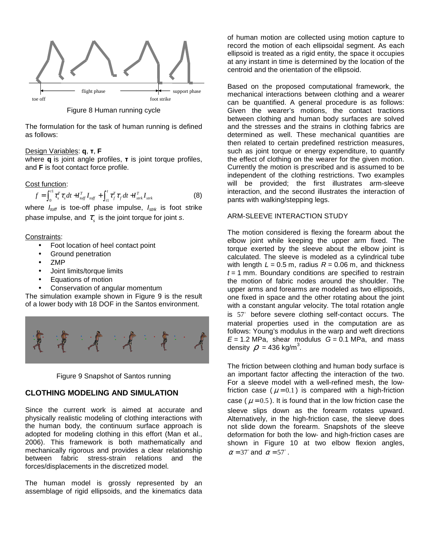

Figure 8 Human running cycle

The formulation for the task of human running is defined as follows:

#### Design Variables: **q**, τ, **F**

where **q** is joint angle profiles, τ is joint torque profiles, and **F** is foot contact force profile.

#### Cost function:

$$
f = \int_0^1 \tau_s^T \tau_s dt + I_{\text{toff}}^T I_{\text{toff}} + \int_1^1 \tau_f^T \tau_f dt + I_{\text{strk}}^T I_{\text{strk}}
$$
(8)

where  $I_{\text{toff}}$  is toe-off phase impulse,  $I_{\text{strk}}$  is foot strike phase impulse, and  $\tau_{\scriptscriptstyle s}$  is the joint torque for joint s.

#### Constraints:

- Foot location of heel contact point
- Ground penetration
- ZMP
- Joint limits/torque limits
- Equations of motion
- Conservation of angular momentum

The simulation example shown in Figure 9 is the result of a lower body with 18 DOF in the Santos environment.



Figure 9 Snapshot of Santos running

## **CLOTHING MODELING AND SIMULATION**

Since the current work is aimed at accurate and physically realistic modeling of clothing interactions with the human body, the continuum surface approach is adopted for modeling clothing in this effort (Man et al., 2006). This framework is both mathematically and mechanically rigorous and provides a clear relationship between fabric stress-strain relations and the forces/displacements in the discretized model.

The human model is grossly represented by an assemblage of rigid ellipsoids, and the kinematics data of human motion are collected using motion capture to record the motion of each ellipsoidal segment. As each ellipsoid is treated as a rigid entity, the space it occupies at any instant in time is determined by the location of the centroid and the orientation of the ellipsoid.

Based on the proposed computational framework, the mechanical interactions between clothing and a wearer can be quantified. A general procedure is as follows: Given the wearer's motions, the contact tractions between clothing and human body surfaces are solved and the stresses and the strains in clothing fabrics are determined as well. These mechanical quantities are then related to certain predefined restriction measures, such as joint torque or energy expenditure, to quantify the effect of clothing on the wearer for the given motion. Currently the motion is prescribed and is assumed to be independent of the clothing restrictions. Two examples will be provided; the first illustrates arm-sleeve interaction, and the second illustrates the interaction of pants with walking/stepping legs.

#### ARM-SLEEVE INTERACTION STUDY

The motion considered is flexing the forearm about the elbow joint while keeping the upper arm fixed. The torque exerted by the sleeve about the elbow joint is calculated. The sleeve is modeled as a cylindrical tube with length  $L = 0.5$  m, radius  $R = 0.06$  m, and thickness  $t = 1$  mm. Boundary conditions are specified to restrain the motion of fabric nodes around the shoulder. The upper arms and forearms are modeled as two ellipsoids, one fixed in space and the other rotating about the joint with a constant angular velocity. The total rotation angle is  $57^\circ$  before severe clothing self-contact occurs. The material properties used in the computation are as follows: Young's modulus in the warp and weft directions  $E = 1.2$  MPa, shear modulus  $G = 0.1$  MPa, and mass density  $\rho$  = 436 kg/m<sup>3</sup>.

The friction between clothing and human body surface is an important factor affecting the interaction of the two. For a sleeve model with a well-refined mesh, the lowfriction case ( $\mu$  = 0.1) is compared with a high-friction case ( $\mu$  = 0.5). It is found that in the low friction case the sleeve slips down as the forearm rotates upward. Alternatively, in the high-friction case, the sleeve does not slide down the forearm. Snapshots of the sleeve deformation for both the low- and high-friction cases are shown in Figure 10 at two elbow flexion angles,  $\alpha = 37^{\circ}$  and  $\alpha = 57^{\circ}$ .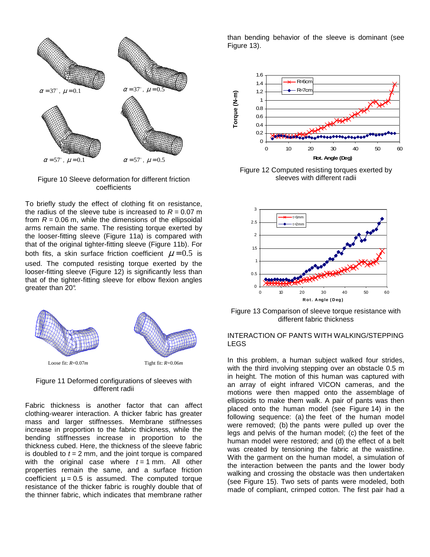

Figure 10 Sleeve deformation for different friction coefficients

To briefly study the effect of clothing fit on resistance, the radius of the sleeve tube is increased to  $R = 0.07$  m from  $R = 0.06$  m, while the dimensions of the ellipsoidal arms remain the same. The resisting torque exerted by the looser-fitting sleeve (Figure 11a) is compared with that of the original tighter-fitting sleeve (Figure 11b). For both fits, a skin surface friction coefficient  $\mu = 0.5$  is used. The computed resisting torque exerted by the looser-fitting sleeve (Figure 12) is significantly less than that of the tighter-fitting sleeve for elbow flexion angles greater than 20°.



Figure 11 Deformed configurations of sleeves with different radii

Fabric thickness is another factor that can affect clothing-wearer interaction. A thicker fabric has greater mass and larger stiffnesses. Membrane stiffnesses increase in proportion to the fabric thickness, while the bending stiffnesses increase in proportion to the thickness cubed. Here, the thickness of the sleeve fabric is doubled to  $t = 2$  mm, and the joint torque is compared with the original case where  $t = 1$  mm. All other properties remain the same, and a surface friction coefficient  $\mu = 0.5$  is assumed. The computed torque resistance of the thicker fabric is roughly double that of the thinner fabric, which indicates that membrane rather than bending behavior of the sleeve is dominant (see Figure 13).



Figure 12 Computed resisting torques exerted by sleeves with different radii



Figure 13 Comparison of sleeve torque resistance with different fabric thickness

#### INTERACTION OF PANTS WITH WALKING/STEPPING LEGS

In this problem, a human subject walked four strides, with the third involving stepping over an obstacle 0.5 m in height. The motion of this human was captured with an array of eight infrared VICON cameras, and the motions were then mapped onto the assemblage of ellipsoids to make them walk. A pair of pants was then placed onto the human model (see Figure 14) in the following sequence: (a) the feet of the human model were removed; (b) the pants were pulled up over the legs and pelvis of the human model; (c) the feet of the human model were restored; and (d) the effect of a belt was created by tensioning the fabric at the waistline. With the garment on the human model, a simulation of the interaction between the pants and the lower body walking and crossing the obstacle was then undertaken (see Figure 15). Two sets of pants were modeled, both made of compliant, crimped cotton. The first pair had a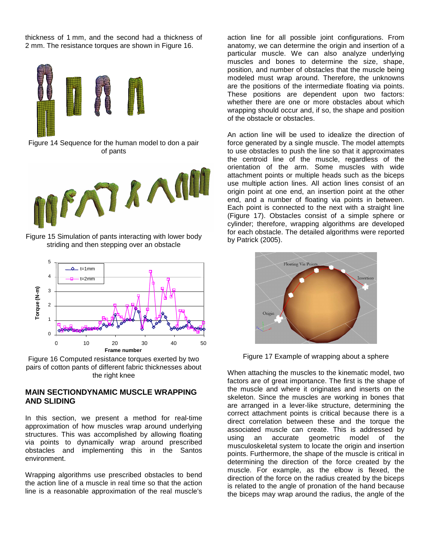thickness of 1 mm, and the second had a thickness of 2 mm. The resistance torques are shown in Figure 16.



Figure 14 Sequence for the human model to don a pair of pants



Figure 15 Simulation of pants interacting with lower body striding and then stepping over an obstacle



Figure 16 Computed resistance torques exerted by two pairs of cotton pants of different fabric thicknesses about the right knee

## **MAIN SECTIONDYNAMIC MUSCLE WRAPPING AND SLIDING**

In this section, we present a method for real-time approximation of how muscles wrap around underlying structures. This was accomplished by allowing floating via points to dynamically wrap around prescribed obstacles and implementing this in the Santos environment.

Wrapping algorithms use prescribed obstacles to bend the action line of a muscle in real time so that the action line is a reasonable approximation of the real muscle's

action line for all possible joint configurations. From anatomy, we can determine the origin and insertion of a particular muscle. We can also analyze underlying muscles and bones to determine the size, shape, position, and number of obstacles that the muscle being modeled must wrap around. Therefore, the unknowns are the positions of the intermediate floating via points. These positions are dependent upon two factors: whether there are one or more obstacles about which wrapping should occur and, if so, the shape and position of the obstacle or obstacles.

An action line will be used to idealize the direction of force generated by a single muscle. The model attempts to use obstacles to push the line so that it approximates the centroid line of the muscle, regardless of the orientation of the arm. Some muscles with wide attachment points or multiple heads such as the biceps use multiple action lines. All action lines consist of an origin point at one end, an insertion point at the other end, and a number of floating via points in between. Each point is connected to the next with a straight line (Figure 17). Obstacles consist of a simple sphere or cylinder; therefore, wrapping algorithms are developed for each obstacle. The detailed algorithms were reported by Patrick (2005).



Figure 17 Example of wrapping about a sphere

When attaching the muscles to the kinematic model, two factors are of great importance. The first is the shape of the muscle and where it originates and inserts on the skeleton. Since the muscles are working in bones that are arranged in a lever-like structure, determining the correct attachment points is critical because there is a direct correlation between these and the torque the associated muscle can create. This is addressed by using an accurate geometric model of the musculoskeletal system to locate the origin and insertion points. Furthermore, the shape of the muscle is critical in determining the direction of the force created by the muscle. For example, as the elbow is flexed, the direction of the force on the radius created by the biceps is related to the angle of pronation of the hand because the biceps may wrap around the radius, the angle of the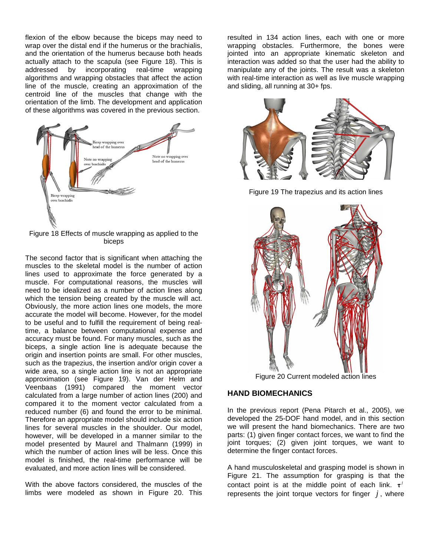flexion of the elbow because the biceps may need to wrap over the distal end if the humerus or the brachialis, and the orientation of the humerus because both heads actually attach to the scapula (see Figure 18). This is addressed by incorporating real-time wrapping algorithms and wrapping obstacles that affect the action line of the muscle, creating an approximation of the centroid line of the muscles that change with the orientation of the limb. The development and application of these algorithms was covered in the previous section.



Figure 18 Effects of muscle wrapping as applied to the biceps

The second factor that is significant when attaching the muscles to the skeletal model is the number of action lines used to approximate the force generated by a muscle. For computational reasons, the muscles will need to be idealized as a number of action lines along which the tension being created by the muscle will act. Obviously, the more action lines one models, the more accurate the model will become. However, for the model to be useful and to fulfill the requirement of being realtime, a balance between computational expense and accuracy must be found. For many muscles, such as the biceps, a single action line is adequate because the origin and insertion points are small. For other muscles, such as the trapezius, the insertion and/or origin cover a wide area, so a single action line is not an appropriate approximation (see Figure 19). Van der Helm and Veenbaas (1991) compared the moment vector calculated from a large number of action lines (200) and compared it to the moment vector calculated from a reduced number (6) and found the error to be minimal. Therefore an appropriate model should include six action lines for several muscles in the shoulder. Our model, however, will be developed in a manner similar to the model presented by Maurel and Thalmann (1999) in which the number of action lines will be less. Once this model is finished, the real-time performance will be evaluated, and more action lines will be considered.

With the above factors considered, the muscles of the limbs were modeled as shown in Figure 20. This

resulted in 134 action lines, each with one or more wrapping obstacles. Furthermore, the bones were jointed into an appropriate kinematic skeleton and interaction was added so that the user had the ability to manipulate any of the joints. The result was a skeleton with real-time interaction as well as live muscle wrapping and sliding, all running at 30+ fps.



Figure 19 The trapezius and its action lines



Figure 20 Current modeled action lines

## **HAND BIOMECHANICS**

In the previous report (Pena Pitarch et al., 2005), we developed the 25-DOF hand model, and in this section we will present the hand biomechanics. There are two parts: (1) given finger contact forces, we want to find the joint torques; (2) given joint torques, we want to determine the finger contact forces.

A hand musculoskeletal and grasping model is shown in Figure 21. The assumption for grasping is that the contact point is at the middle point of each link.  $\tau^j$ represents the joint torque vectors for finger  $j$ , where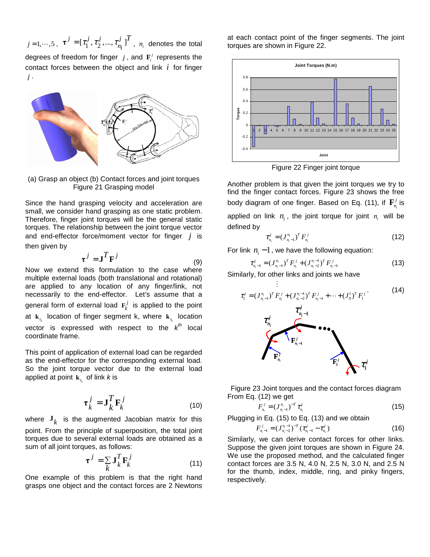$j = 1, \dots, 5, \quad \tau^{j} = [\tau_1^{j}, \tau_2^{j}, ..., \tau_{n_i}^{j}]$  $\boldsymbol{\tau}^j$  = [ $\tau^j_1$  ,  $\tau^j_2$  , ...,  $\tau^j_{n_i}$   $]^T$  ,  $\;$   $\;$   $\;$   $\;$   $\;$   $\;$   $\;$  denotes the total

degrees of freedom for finger  $j$ , and  $\mathbf{F}_i^j$  represents the contact forces between the object and link *i* for finger *j* .



(a) Grasp an object (b) Contact forces and joint torques Figure 21 Grasping model

Since the hand grasping velocity and acceleration are small, we consider hand grasping as one static problem. Therefore, finger joint torques will be the general static torques. The relationship between the joint torque vector and end-effector force/moment vector for finger *j* is then given by

$$
\boldsymbol{\tau}^j = \mathbf{J}^T \mathbf{F}^j \tag{9}
$$

Now we extend this formulation to the case where multiple external loads (both translational and rotational) are applied to any location of any finger/link, not necessarily to the end-effector. Let's assume that a general form of external load  $\mathbf{F}_k^j$  is applied to the point at *k r* **k** location of finger segment k, where *k r* **k** location vector is expressed with respect to the  $k^{th}$  local coordinate frame.

This point of application of external load can be regarded as the end-effector for the corresponding external load. So the joint torque vector due to the external load applied at point  $\mathbf{k}_{\tau_k}$  of link  $k$  is

$$
\boldsymbol{\tau}_k^j = \mathbf{J}_k^T \mathbf{F}_k^j \tag{10}
$$

where  $\mathbf{J}_k$  is the augmented Jacobian matrix for this point. From the principle of superposition, the total joint torques due to several external loads are obtained as a sum of all joint torques, as follows:

$$
\boldsymbol{\tau}^j = \sum_{k} \mathbf{J}_k^T \mathbf{F}_k^j
$$
 (11)

One example of this problem is that the right hand grasps one object and the contact forces are 2 Newtons

at each contact point of the finger segments. The joint torques are shown in Figure 22.



Figure 22 Finger joint torque

Another problem is that given the joint torques we try to find the finger contact forces. Figure 23 shows the free body diagram of one finger. Based on Eq. (11), if  $\mathbf{F}_{n_i}^j$  is applied on link  $n_i$ , the joint torque for joint  $n_i$  will be defined by

$$
\tau_{n_i}^j = (J_{n_i-1}^{n_i})^T F_{n_i}^j \tag{12}
$$

For link  $n_i - 1$ , we have the following equation:

$$
\tau_{n_{i}-1}^{j} = (J_{n_{i}-1}^{n_{i}})^{T} F_{n_{i}}^{j} + (J_{n_{i}-2}^{n_{i}-1})^{T} F_{n_{i}-1}^{j}
$$
\n(13)

Similarly, for other links and joints we have

$$
\vdots
$$
\n
$$
\tau_{1}^{j} = (J_{n_{i}-1}^{n_{i}})^{T} F_{n_{i}}^{j} + (J_{n_{i}-2}^{n_{i}-1})^{T} F_{n_{i}-1}^{j} + \cdots + (J_{0}^{1})^{T} F_{1}^{j}
$$
\n
$$
\tau_{n_{i}}^{j}
$$
\n
$$
\tau_{n_{i}}^{j}
$$
\n
$$
\mathbf{F}_{n_{i}}^{j}
$$
\n
$$
\mathbf{F}_{n_{i}}^{j}
$$
\n
$$
\mathbf{F}_{n_{i}}^{j}
$$
\n
$$
\mathbf{F}_{n_{i}}^{j}
$$
\n
$$
\mathbf{F}_{n}^{j}
$$
\n
$$
\mathbf{F}_{n}^{j}
$$
\n
$$
\mathbf{F}_{n}^{j}
$$
\n
$$
\mathbf{F}_{n}^{j}
$$
\n
$$
\mathbf{F}_{n}^{j}
$$
\n
$$
\mathbf{F}_{n}^{j}
$$
\n
$$
\mathbf{F}_{n}^{j}
$$
\n
$$
\mathbf{F}_{n}^{j}
$$
\n
$$
\mathbf{F}_{n}^{j}
$$
\n
$$
\mathbf{F}_{n}^{j}
$$
\n
$$
\mathbf{F}_{n}^{j}
$$

Figure 23 Joint torques and the contact forces diagram From Eq. (12) we get

$$
F_{n_i}^j = (J_{n_i-1}^{n_i})^{-T} \tau_{n_i}^j
$$
\n(15)

Plugging in Eq. (15) to Eq. (13) and we obtain

$$
F_{n_i-1}^j = (J_{n_i-2}^{n_i-1})^{-T} (\tau_{n_i-1}^j - \tau_{n_i}^j)
$$
\n(16)

Similarly, we can derive contact forces for other links. Suppose the given joint torques are shown in Figure 24. We use the proposed method, and the calculated finger contact forces are 3.5 N, 4.0 N, 2.5 N, 3.0 N, and 2.5 N for the thumb, index, middle, ring, and pinky fingers, respectively.